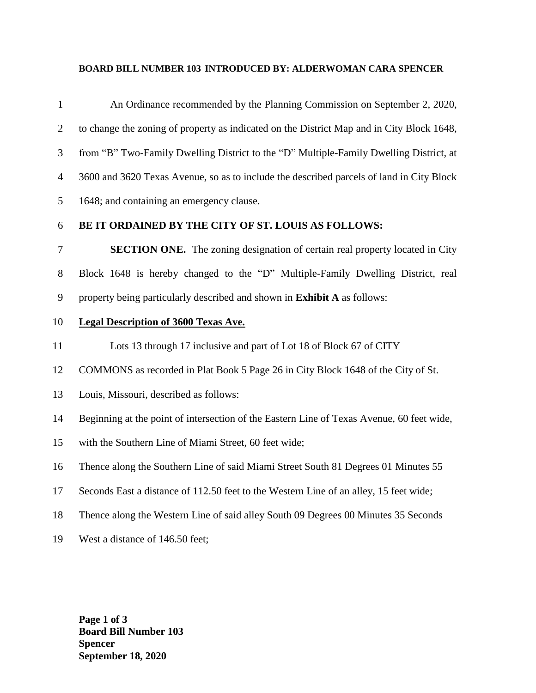## **BOARD BILL NUMBER 103 INTRODUCED BY: ALDERWOMAN CARA SPENCER**

| $\mathbf{1}$   | An Ordinance recommended by the Planning Commission on September 2, 2020,                 |
|----------------|-------------------------------------------------------------------------------------------|
| $\overline{c}$ | to change the zoning of property as indicated on the District Map and in City Block 1648, |
| 3              | from "B" Two-Family Dwelling District to the "D" Multiple-Family Dwelling District, at    |
| $\overline{4}$ | 3600 and 3620 Texas Avenue, so as to include the described parcels of land in City Block  |
| 5              | 1648; and containing an emergency clause.                                                 |
| 6              | BE IT ORDAINED BY THE CITY OF ST. LOUIS AS FOLLOWS:                                       |
| 7              | <b>SECTION ONE.</b> The zoning designation of certain real property located in City       |
| 8              | Block 1648 is hereby changed to the "D" Multiple-Family Dwelling District, real           |
| 9              | property being particularly described and shown in <b>Exhibit A</b> as follows:           |
| 10             | <b>Legal Description of 3600 Texas Ave.</b>                                               |
| 11             | Lots 13 through 17 inclusive and part of Lot 18 of Block 67 of CITY                       |
| 12             | COMMONS as recorded in Plat Book 5 Page 26 in City Block 1648 of the City of St.          |
| 13             | Louis, Missouri, described as follows:                                                    |
| 14             | Beginning at the point of intersection of the Eastern Line of Texas Avenue, 60 feet wide, |
| 15             | with the Southern Line of Miami Street, 60 feet wide;                                     |
| 16             | Thence along the Southern Line of said Miami Street South 81 Degrees 01 Minutes 55        |
| 17             | Seconds East a distance of 112.50 feet to the Western Line of an alley, 15 feet wide;     |
| 18             | Thence along the Western Line of said alley South 09 Degrees 00 Minutes 35 Seconds        |
| 19             | West a distance of 146.50 feet;                                                           |

**Page 1 of 3 Board Bill Number 103 Spencer September 18, 2020**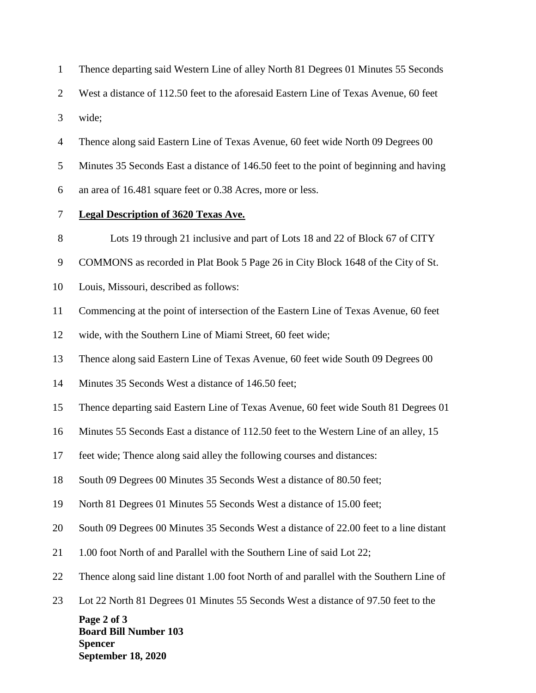| $\mathbf{1}$   | Thence departing said Western Line of alley North 81 Degrees 01 Minutes 55 Seconds         |
|----------------|--------------------------------------------------------------------------------------------|
| $\overline{2}$ | West a distance of 112.50 feet to the aforesaid Eastern Line of Texas Avenue, 60 feet      |
| 3              | wide;                                                                                      |
| $\overline{4}$ | Thence along said Eastern Line of Texas Avenue, 60 feet wide North 09 Degrees 00           |
| 5              | Minutes 35 Seconds East a distance of 146.50 feet to the point of beginning and having     |
| 6              | an area of 16.481 square feet or 0.38 Acres, more or less.                                 |
| 7              | <b>Legal Description of 3620 Texas Ave.</b>                                                |
| $8\,$          | Lots 19 through 21 inclusive and part of Lots 18 and 22 of Block 67 of CITY                |
| 9              | COMMONS as recorded in Plat Book 5 Page 26 in City Block 1648 of the City of St.           |
| 10             | Louis, Missouri, described as follows:                                                     |
| 11             | Commencing at the point of intersection of the Eastern Line of Texas Avenue, 60 feet       |
| 12             | wide, with the Southern Line of Miami Street, 60 feet wide;                                |
| 13             | Thence along said Eastern Line of Texas Avenue, 60 feet wide South 09 Degrees 00           |
| 14             | Minutes 35 Seconds West a distance of 146.50 feet;                                         |
| 15             | Thence departing said Eastern Line of Texas Avenue, 60 feet wide South 81 Degrees 01       |
| 16             | Minutes 55 Seconds East a distance of 112.50 feet to the Western Line of an alley, 15      |
| 17             | feet wide; Thence along said alley the following courses and distances:                    |
| 18             | South 09 Degrees 00 Minutes 35 Seconds West a distance of 80.50 feet;                      |
| 19             | North 81 Degrees 01 Minutes 55 Seconds West a distance of 15.00 feet;                      |
| 20             | South 09 Degrees 00 Minutes 35 Seconds West a distance of 22.00 feet to a line distant     |
| 21             | 1.00 foot North of and Parallel with the Southern Line of said Lot 22;                     |
| 22             | Thence along said line distant 1.00 foot North of and parallel with the Southern Line of   |
| 23             | Lot 22 North 81 Degrees 01 Minutes 55 Seconds West a distance of 97.50 feet to the         |
|                | Page 2 of 3<br><b>Board Bill Number 103</b><br><b>Spencer</b><br><b>September 18, 2020</b> |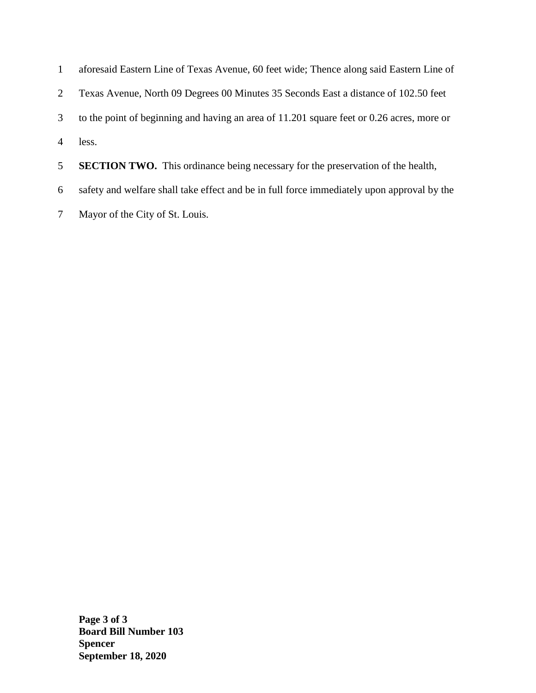| $\mathbf{1}$   | aforesaid Eastern Line of Texas Avenue, 60 feet wide; Thence along said Eastern Line of    |
|----------------|--------------------------------------------------------------------------------------------|
| 2              | Texas Avenue, North 09 Degrees 00 Minutes 35 Seconds East a distance of 102.50 feet        |
| 3              | to the point of beginning and having an area of 11.201 square feet or 0.26 acres, more or  |
| $\overline{A}$ | less.                                                                                      |
| 5 <sup>1</sup> | <b>SECTION TWO.</b> This ordinance being necessary for the preservation of the health,     |
| 6              | safety and welfare shall take effect and be in full force immediately upon approval by the |

7 Mayor of the City of St. Louis.

**Page 3 of 3 Board Bill Number 103 Spencer September 18, 2020**